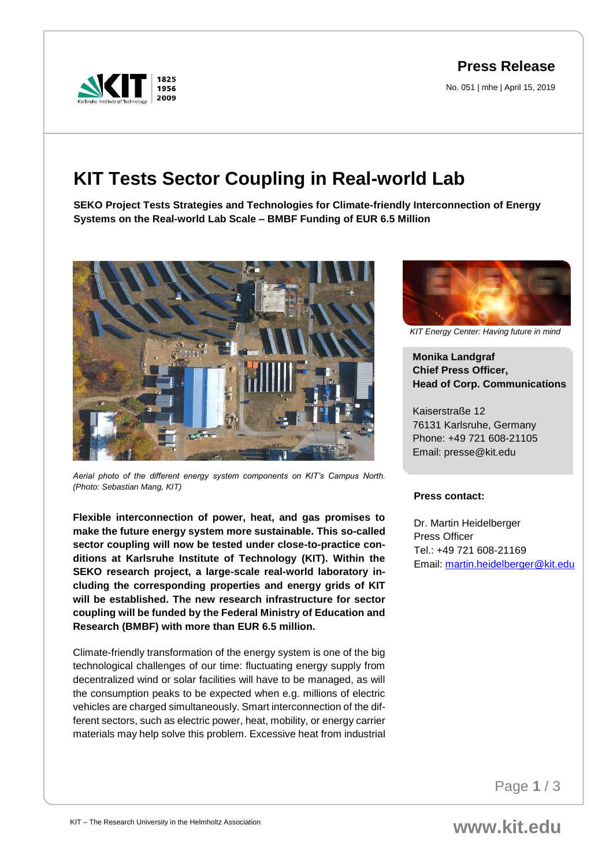1956 2009

## **Press Release**

No. 051 | mhe | April 15, 2019

## **KIT Tests Sector Coupling in Real-world Lab**

**SEKO Project Tests Strategies and Technologies for Climate-friendly Interconnection of Energy Systems on the Real-world Lab Scale – BMBF Funding of EUR 6.5 Million**



*Aerial photo of the different energy system components on KIT's Campus North. (Photo: Sebastian Mang, KIT)*

**Flexible interconnection of power, heat, and gas promises to make the future energy system more sustainable. This so-called sector coupling will now be tested under close-to-practice conditions at Karlsruhe Institute of Technology (KIT). Within the SEKO research project, a large-scale real-world laboratory including the corresponding properties and energy grids of KIT will be established. The new research infrastructure for sector coupling will be funded by the Federal Ministry of Education and Research (BMBF) with more than EUR 6.5 million.** 

Climate-friendly transformation of the energy system is one of the big technological challenges of our time: fluctuating energy supply from decentralized wind or solar facilities will have to be managed, as will the consumption peaks to be expected when e.g. millions of electric vehicles are charged simultaneously. Smart interconnection of the different sectors, such as electric power, heat, mobility, or energy carrier materials may help solve this problem. Excessive heat from industrial



*KIT Energy Center: Having future in mind*

**Monika Landgraf Chief Press Officer, Head of Corp. Communications**

Kaiserstraße 12 76131 Karlsruhe, Germany Phone: +49 721 608-21105 Email: presse@kit.edu

## **Press contact:**

Dr. Martin Heidelberger Press Officer Tel.: +49 721 608-21169 Email: [martin.heidelberger@kit.edu](mailto:martin.heidelberger@kit.edu)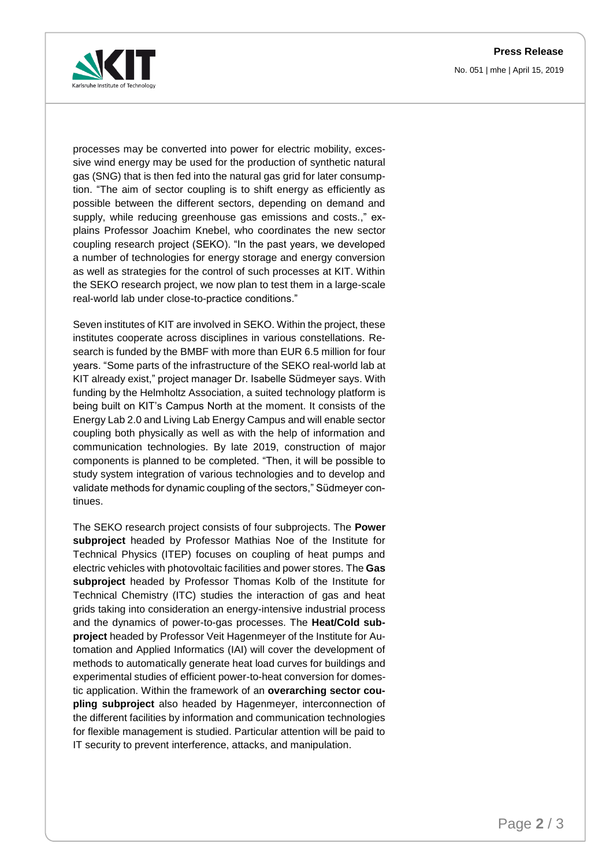**Press Release** No. 051 | mhe | April 15, 2019



processes may be converted into power for electric mobility, excessive wind energy may be used for the production of synthetic natural gas (SNG) that is then fed into the natural gas grid for later consumption. "The aim of sector coupling is to shift energy as efficiently as possible between the different sectors, depending on demand and supply, while reducing greenhouse gas emissions and costs.," explains Professor Joachim Knebel, who coordinates the new sector coupling research project (SEKO). "In the past years, we developed a number of technologies for energy storage and energy conversion as well as strategies for the control of such processes at KIT. Within the SEKO research project, we now plan to test them in a large-scale real-world lab under close-to-practice conditions."

Seven institutes of KIT are involved in SEKO. Within the project, these institutes cooperate across disciplines in various constellations. Research is funded by the BMBF with more than EUR 6.5 million for four years. "Some parts of the infrastructure of the SEKO real-world lab at KIT already exist," project manager Dr. Isabelle Südmeyer says. With funding by the Helmholtz Association, a suited technology platform is being built on KIT's Campus North at the moment. It consists of the Energy Lab 2.0 and Living Lab Energy Campus and will enable sector coupling both physically as well as with the help of information and communication technologies. By late 2019, construction of major components is planned to be completed. "Then, it will be possible to study system integration of various technologies and to develop and validate methods for dynamic coupling of the sectors," Südmeyer continues.

The SEKO research project consists of four subprojects. The **Power subproject** headed by Professor Mathias Noe of the Institute for Technical Physics (ITEP) focuses on coupling of heat pumps and electric vehicles with photovoltaic facilities and power stores. The **Gas subproject** headed by Professor Thomas Kolb of the Institute for Technical Chemistry (ITC) studies the interaction of gas and heat grids taking into consideration an energy-intensive industrial process and the dynamics of power-to-gas processes. The **Heat/Cold subproject** headed by Professor Veit Hagenmeyer of the Institute for Automation and Applied Informatics (IAI) will cover the development of methods to automatically generate heat load curves for buildings and experimental studies of efficient power-to-heat conversion for domestic application. Within the framework of an **overarching sector coupling subproject** also headed by Hagenmeyer, interconnection of the different facilities by information and communication technologies for flexible management is studied. Particular attention will be paid to IT security to prevent interference, attacks, and manipulation.